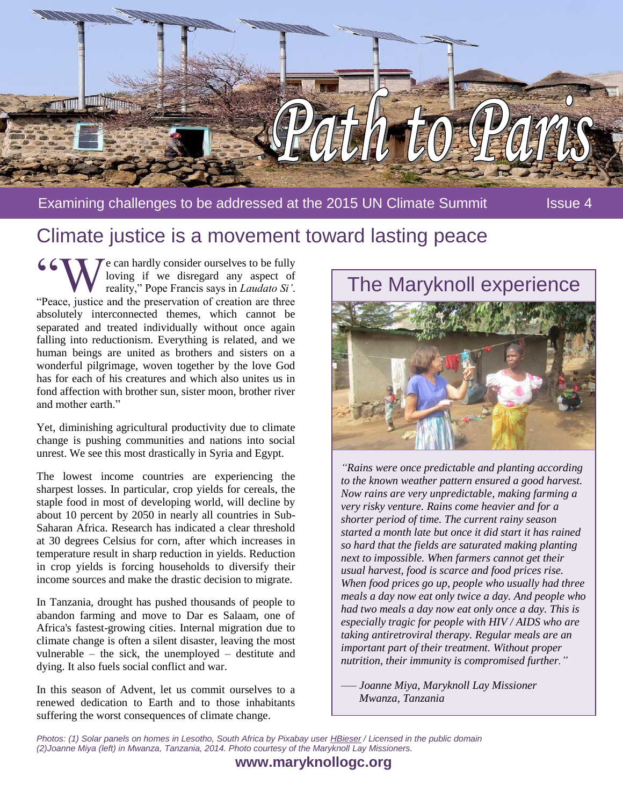

Examining challenges to be addressed at the 2015 UN Climate Summit Issue 4

## Climate justice is a movement toward lasting peace

 $\mathcal T$  e can hardly consider ourselves to be fully loving if we disregard any aspect of reality," Pope Francis says in *Laudato Si'*. **6 CW COM** e can hardly consider ourselves to be fully loving if we disregard any aspect of reality," Pope Francis says in *Laudato Si'*. "Peace, justice and the preservation of creation are three absolutely interconnected themes, which cannot be separated and treated individually without once again falling into reductionism. Everything is related, and we human beings are united as brothers and sisters on a wonderful pilgrimage, woven together by the love God has for each of his creatures and which also unites us in fond affection with brother sun, sister moon, brother river and mother earth."

Yet, diminishing agricultural productivity due to climate change is pushing communities and nations into social unrest. We see this most drastically in Syria and Egypt.

The lowest income countries are experiencing the sharpest losses. In particular, crop yields for cereals, the staple food in most of developing world, will decline by about 10 percent by 2050 in nearly all countries in Sub-Saharan Africa. Research has indicated a clear threshold at 30 degrees Celsius for corn, after which increases in temperature result in sharp reduction in yields. Reduction in crop yields is forcing households to diversify their income sources and make the drastic decision to migrate.

In Tanzania, drought has pushed thousands of people to abandon farming and move to Dar es Salaam, one of Africa's fastest-growing cities. Internal migration due to climate change is often a silent disaster, leaving the most vulnerable – the sick, the unemployed – destitute and dying. It also fuels social conflict and war.

In this season of Advent, let us commit ourselves to a renewed dedication to Earth and to those inhabitants suffering the worst consequences of climate change.

# The Maryknoll experience



*"Rains were once predictable and planting according to the known weather pattern ensured a good harvest. Now rains are very unpredictable, making farming a very risky venture. Rains come heavier and for a shorter period of time. The current rainy season started a month late but once it did start it has rained so hard that the fields are saturated making planting next to impossible. When farmers cannot get their usual harvest, food is scarce and food prices rise. When food prices go up, people who usually had three meals a day now eat only twice a day. And people who had two meals a day now eat only once a day. This is especially tragic for people with HIV / AIDS who are taking antiretroviral therapy. Regular meals are an important part of their treatment. Without proper nutrition, their immunity is compromised further."*

*–— Joanne Miya, Maryknoll Lay Missioner Mwanza, Tanzania*

*Photos: (1) Solar panels on homes in Lesotho, South Africa by Pixabay use[r HBieser](https://pixabay.com/en/lesotho-bergdorf-solar-energy-927581/) / Licensed in the public domain (2)Joanne Miya (left) in Mwanza, Tanzania, 2014. Photo courtesy of the Maryknoll Lay Missioners.*